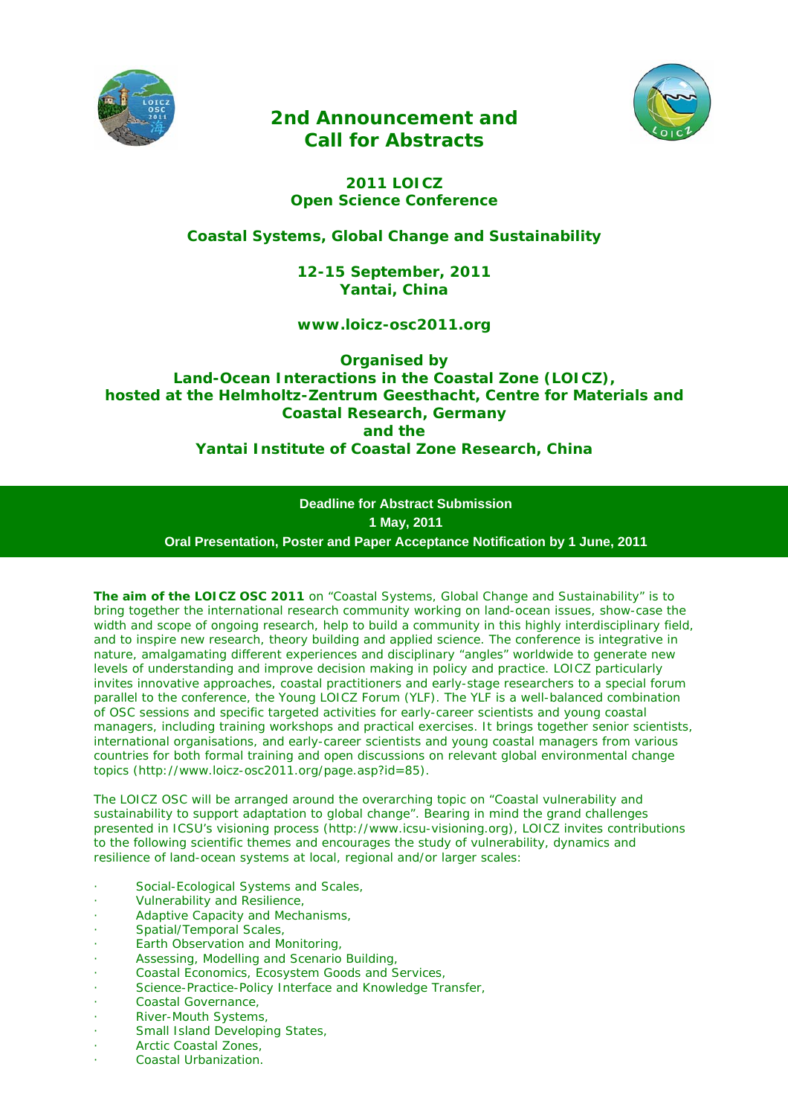

# *2nd Announcement and Call for Abstracts*



## *2011 LOICZ Open Science Conference*

*Coastal Systems, Global Change and Sustainability* 

*12-15 September, 2011 Yantai, China* 

*www.loicz-osc2011.org* 

*Organised by Land-Ocean Interactions in the Coastal Zone (LOICZ), hosted at the Helmholtz-Zentrum Geesthacht, Centre for Materials and Coastal Research, Germany and the Yantai Institute of Coastal Zone Research, China* 

> **Deadline for Abstract Submission 1 May, 2011 Oral Presentation, Poster and Paper Acceptance Notification by 1 June, 2011**

The aim of the LOICZ OSC 2011 on "Coastal Systems, Global Change and Sustainability" is to bring together the international research community working on land-ocean issues, show-case the width and scope of ongoing research, help to build a community in this highly interdisciplinary field, and to inspire new research, theory building and applied science. The conference is integrative in nature, amalgamating different experiences and disciplinary "angles" worldwide to generate new levels of understanding and improve decision making in policy and practice. LOICZ particularly invites innovative approaches, coastal practitioners and early-stage researchers to a special forum parallel to the conference, the Young LOICZ Forum (YLF). The YLF is a well-balanced combination of OSC sessions and specific targeted activities for early-career scientists and young coastal managers, including training workshops and practical exercises. It brings together senior scientists, international organisations, and early-career scientists and young coastal managers from various countries for both formal training and open discussions on relevant global environmental change topics (http://www.loicz-osc2011.org/page.asp?id=85).

The LOICZ OSC will be arranged around the overarching topic on "Coastal vulnerability and sustainability to support adaptation to global change". Bearing in mind the grand challenges presented in ICSU's visioning process (http://www.icsu-visioning.org), LOICZ invites contributions to the following scientific themes and encourages the study of vulnerability, dynamics and resilience of land-ocean systems at local, regional and/or larger scales:

- Social-Ecological Systems and Scales,
- · Vulnerability and Resilience,
- Adaptive Capacity and Mechanisms,
- · Spatial/Temporal Scales,
- Earth Observation and Monitoring,
- · Assessing, Modelling and Scenario Building,
- Coastal Economics, Ecosystem Goods and Services,
- Science-Practice-Policy Interface and Knowledge Transfer,
- · Coastal Governance,
- River-Mouth Systems,
- Small Island Developing States,
- Arctic Coastal Zones.
- · Coastal Urbanization.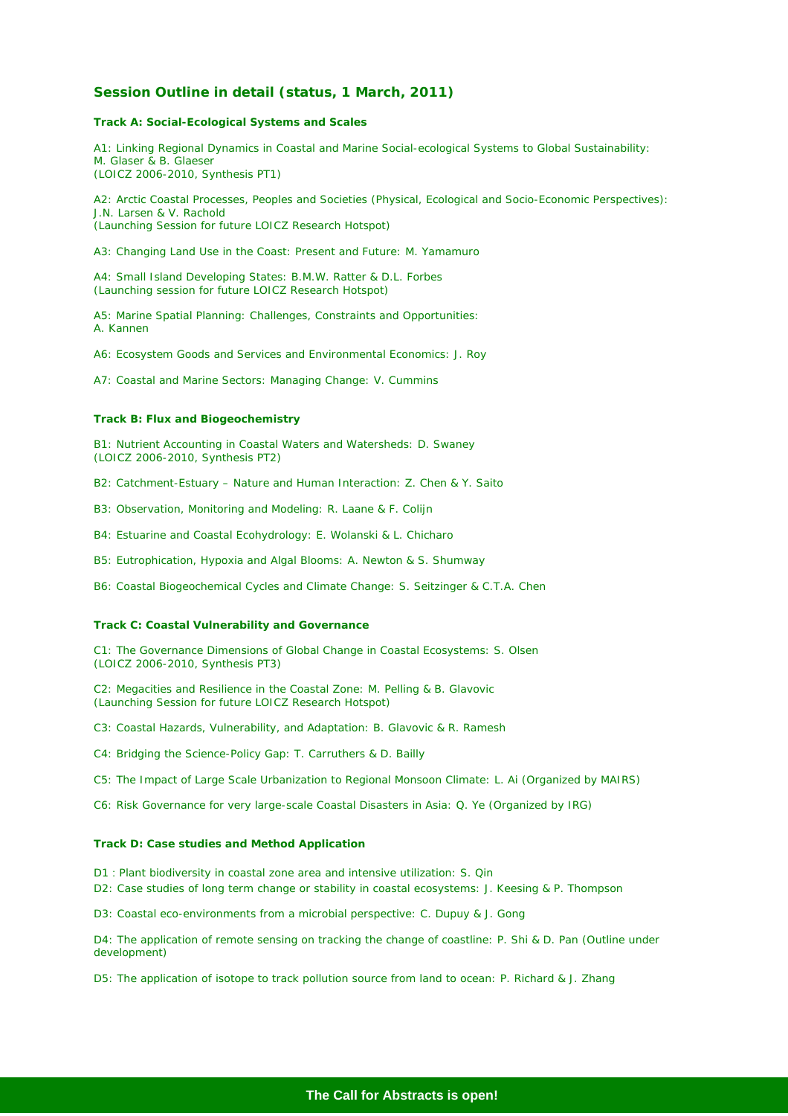## **Session Outline in detail (status, 1 March, 2011)**

#### *Track A: Social-Ecological Systems and Scales*

A1: Linking Regional Dynamics in Coastal and Marine Social-ecological Systems to Global Sustainability: M. Glaser & B. Glaeser (LOICZ 2006-2010, Synthesis PT1)

A2: Arctic Coastal Processes, Peoples and Societies (Physical, Ecological and Socio-Economic Perspectives): J.N. Larsen & V. Rachold (Launching Session for future LOICZ Research Hotspot)

A3: Changing Land Use in the Coast: Present and Future: M. Yamamuro

A4: Small Island Developing States: B.M.W. Ratter & D.L. Forbes (Launching session for future LOICZ Research Hotspot)

A5: Marine Spatial Planning: Challenges, Constraints and Opportunities: A. Kannen

A6: Ecosystem Goods and Services and Environmental Economics: J. Roy

A7: Coastal and Marine Sectors: Managing Change: V. Cummins

#### *Track B: Flux and Biogeochemistry*

B1: Nutrient Accounting in Coastal Waters and Watersheds: D. Swaney (LOICZ 2006-2010, Synthesis PT2)

B2: Catchment-Estuary – Nature and Human Interaction: Z. Chen & Y. Saito

B3: Observation, Monitoring and Modeling: R. Laane & F. Colijn

B4: Estuarine and Coastal Ecohydrology: E. Wolanski & L. Chicharo

B5: Eutrophication, Hypoxia and Algal Blooms: A. Newton & S. Shumway

B6: Coastal Biogeochemical Cycles and Climate Change: S. Seitzinger & C.T.A. Chen

#### *Track C: Coastal Vulnerability and Governance*

C1: The Governance Dimensions of Global Change in Coastal Ecosystems: S. Olsen (LOICZ 2006-2010, Synthesis PT3)

C2: Megacities and Resilience in the Coastal Zone: M. Pelling & B. Glavovic (Launching Session for future LOICZ Research Hotspot)

C3: Coastal Hazards, Vulnerability, and Adaptation: B. Glavovic & R. Ramesh

C4: Bridging the Science-Policy Gap: T. Carruthers & D. Bailly

C5: The Impact of Large Scale Urbanization to Regional Monsoon Climate: L. Ai (Organized by MAIRS)

C6: Risk Governance for very large-scale Coastal Disasters in Asia: Q. Ye (Organized by IRG)

#### *Track D: Case studies and Method Application*

D1:Plant biodiversity in coastal zone area and intensive utilization: S. Qin

D2: Case studies of long term change or stability in coastal ecosystems: J. Keesing & P. Thompson

D3: Coastal eco-environments from a microbial perspective: C. Dupuy & J. Gong

D4: The application of remote sensing on tracking the change of coastline: P. Shi & D. Pan (Outline under development)

D5: The application of isotope to track pollution source from land to ocean: P. Richard & J. Zhang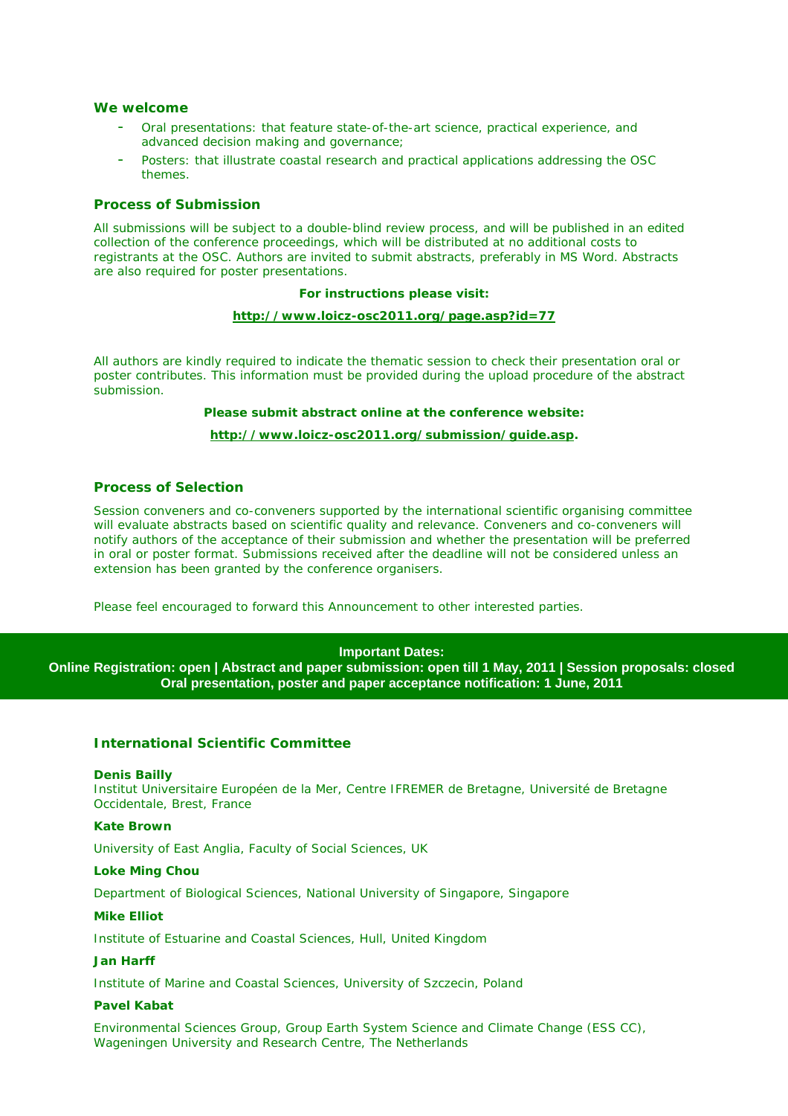## **We welcome**

- Oral presentations: that feature state-of-the-art science, practical experience, and advanced decision making and governance;
- Posters: that illustrate coastal research and practical applications addressing the OSC themes.

#### **Process of Submission**

All submissions will be subject to a double-blind review process, and will be published in an edited collection of the conference proceedings, which will be distributed at no additional costs to registrants at the OSC. Authors are invited to submit abstracts, preferably in MS Word. Abstracts are also required for poster presentations.

#### **For instructions please visit:**

#### **http://www.loicz-osc2011.org/page.asp?id=77**

All authors are kindly required to indicate the thematic session to check their presentation oral or poster contributes. This information must be provided during the upload procedure of the abstract submission.

#### **Please submit abstract online at the conference website:**

#### **http://www.loicz-osc2011.org/submission/guide.asp.**

## **Process of Selection**

Session conveners and co-conveners supported by the international scientific organising committee will evaluate abstracts based on scientific quality and relevance. Conveners and co-conveners will notify authors of the acceptance of their submission and whether the presentation will be preferred in oral or poster format. Submissions received after the deadline will not be considered unless an extension has been granted by the conference organisers.

Please feel encouraged to forward this Announcement to other interested parties.

#### **Important Dates:**

**Online Registration: open | Abstract and paper submission: open till 1 May, 2011 | Session proposals: closed Oral presentation, poster and paper acceptance notification: 1 June, 2011** 

## **International Scientific Committee**

#### **Denis Bailly**

Institut Universitaire Européen de la Mer, Centre IFREMER de Bretagne, Université de Bretagne Occidentale, Brest, France

#### **Kate Brown**

University of East Anglia, Faculty of Social Sciences, UK

#### **Loke Ming Chou**

Department of Biological Sciences, National University of Singapore, Singapore

#### **Mike Elliot**

Institute of Estuarine and Coastal Sciences, Hull, United Kingdom

#### **Jan Harff**

Institute of Marine and Coastal Sciences, University of Szczecin, Poland

## **Pavel Kabat**

Environmental Sciences Group, Group Earth System Science and Climate Change (ESS CC), Wageningen University and Research Centre, The Netherlands